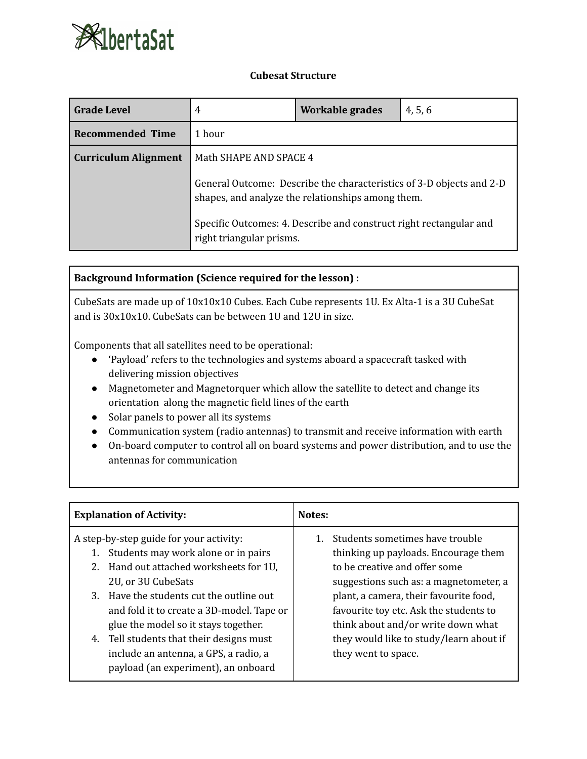

## **Cubesat Structure**

| <b>Grade Level</b>          | 4                                                                                                                         | Workable grades | 4, 5, 6 |
|-----------------------------|---------------------------------------------------------------------------------------------------------------------------|-----------------|---------|
| <b>Recommended Time</b>     | 1 hour                                                                                                                    |                 |         |
| <b>Curriculum Alignment</b> | Math SHAPE AND SPACE 4                                                                                                    |                 |         |
|                             | General Outcome: Describe the characteristics of 3-D objects and 2-D<br>shapes, and analyze the relationships among them. |                 |         |
|                             | Specific Outcomes: 4. Describe and construct right rectangular and<br>right triangular prisms.                            |                 |         |

## **Background Information (Science required for the lesson) :**

CubeSats are made up of 10x10x10 Cubes. Each Cube represents 1U. Ex Alta-1 is a 3U CubeSat and is 30x10x10. CubeSats can be between 1U and 12U in size.

Components that all satellites need to be operational:

- 'Payload' refers to the technologies and systems aboard a spacecraft tasked with delivering mission objectives
- Magnetometer and Magnetorquer which allow the satellite to detect and change its orientation along the magnetic field lines of the earth
- Solar panels to power all its systems
- Communication system (radio antennas) to transmit and receive information with earth
- On-board computer to control all on board systems and power distribution, and to use the antennas for communication

| <b>Explanation of Activity:</b>                                                          | Notes:                                                                           |  |
|------------------------------------------------------------------------------------------|----------------------------------------------------------------------------------|--|
| A step-by-step guide for your activity:<br>Students may work alone or in pairs           | Students sometimes have trouble<br>thinking up payloads. Encourage them          |  |
| Hand out attached worksheets for 1U,<br>2.<br>2U, or 3U CubeSats                         | to be creative and offer some<br>suggestions such as: a magnetometer, a          |  |
| Have the students cut the outline out<br>3.<br>and fold it to create a 3D-model. Tape or | plant, a camera, their favourite food,<br>favourite toy etc. Ask the students to |  |
| glue the model so it stays together.<br>Tell students that their designs must<br>4.      | think about and/or write down what<br>they would like to study/learn about if    |  |
| include an antenna, a GPS, a radio, a<br>payload (an experiment), an onboard             | they went to space.                                                              |  |